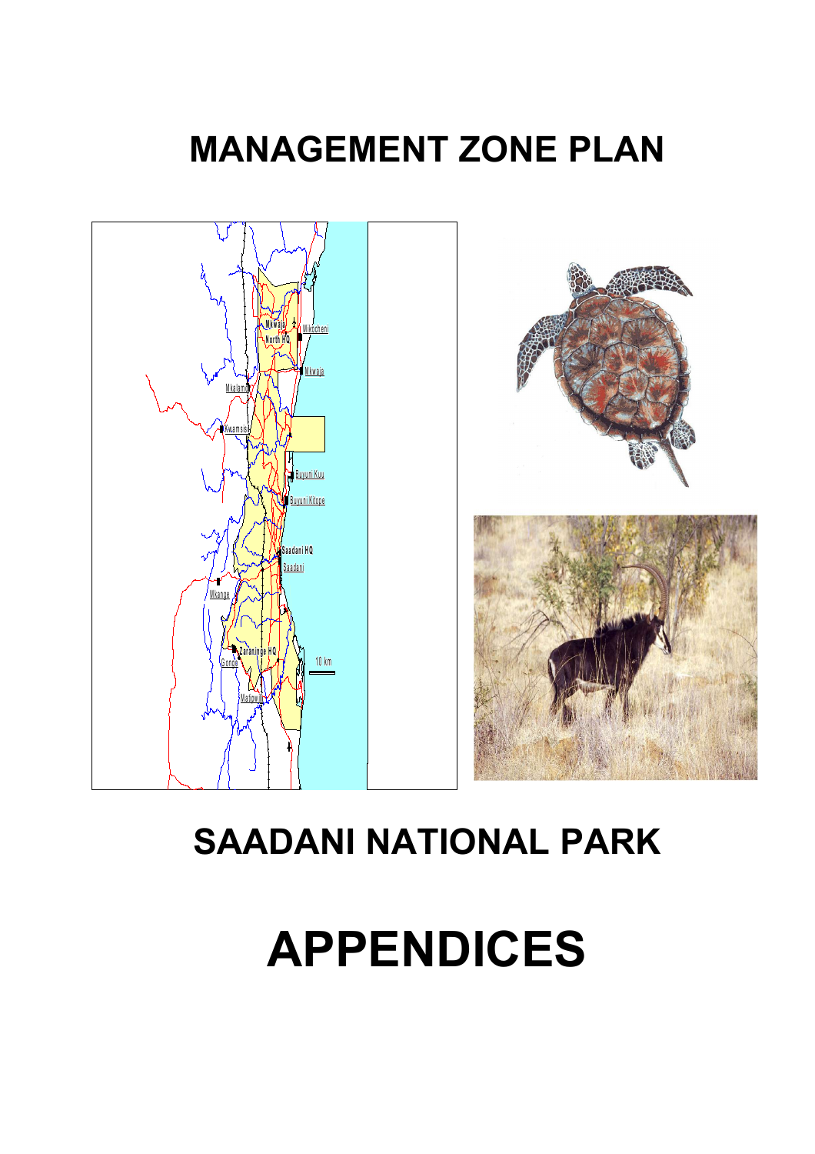# **MANAGEMENT ZONE PLAN**



# **SAADANI NATIONAL PARK**

# **APPENDICES**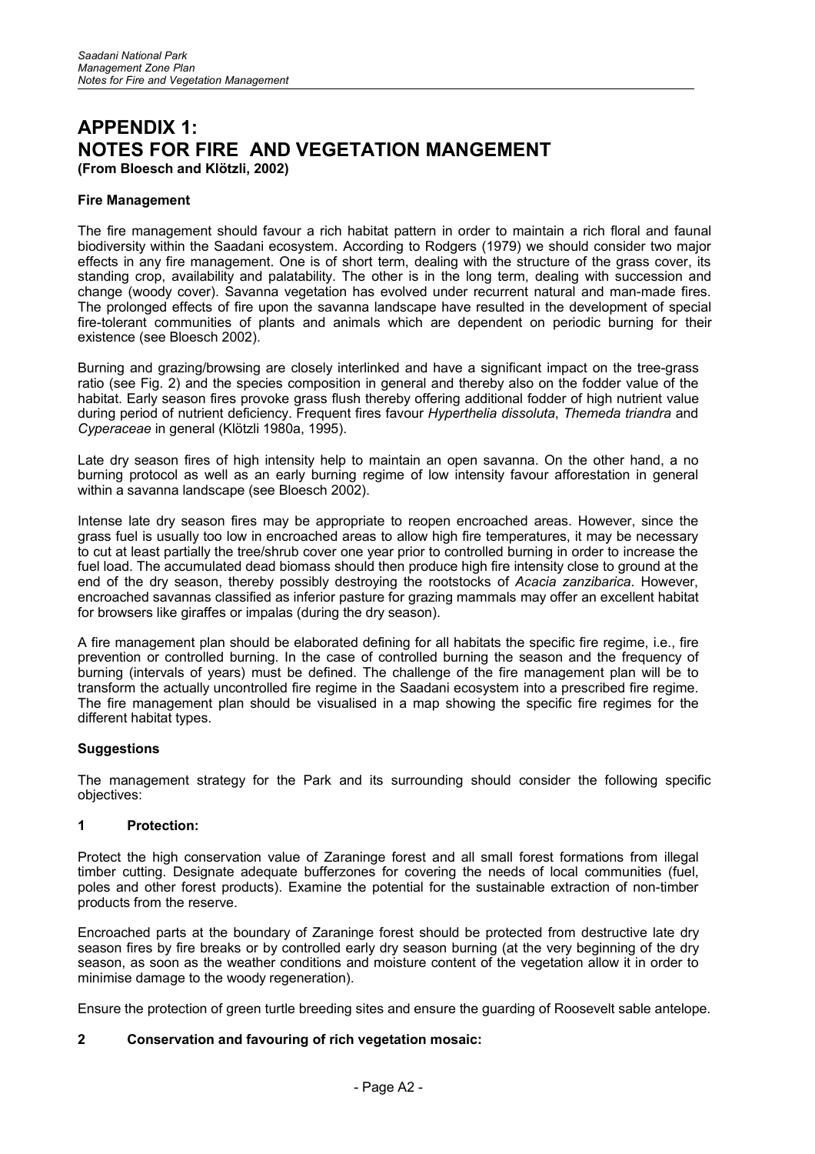## **APPENDIX 1: NOTES FOR FIRE AND VEGETATION MANGEMENT (From Bloesch and Klötzli, 2002)**

#### **Fire Management**

The fire management should favour a rich habitat pattern in order to maintain a rich floral and faunal biodiversity within the Saadani ecosystem. According to Rodgers (1979) we should consider two major effects in any fire management. One is of short term, dealing with the structure of the grass cover, its standing crop, availability and palatability. The other is in the long term, dealing with succession and change (woody cover). Savanna vegetation has evolved under recurrent natural and man-made fires. The prolonged effects of fire upon the savanna landscape have resulted in the development of special fire-tolerant communities of plants and animals which are dependent on periodic burning for their existence (see Bloesch 2002).

Burning and grazing/browsing are closely interlinked and have a significant impact on the tree-grass ratio (see Fig. 2) and the species composition in general and thereby also on the fodder value of the habitat. Early season fires provoke grass flush thereby offering additional fodder of high nutrient value during period of nutrient deficiency. Frequent fires favour *Hyperthelia dissoluta*, *Themeda triandra* and *Cyperaceae* in general (Klötzli 1980a, 1995).

Late dry season fires of high intensity help to maintain an open savanna. On the other hand, a no burning protocol as well as an early burning regime of low intensity favour afforestation in general within a savanna landscape (see Bloesch 2002).

Intense late dry season fires may be appropriate to reopen encroached areas. However, since the grass fuel is usually too low in encroached areas to allow high fire temperatures, it may be necessary to cut at least partially the tree/shrub cover one year prior to controlled burning in order to increase the fuel load. The accumulated dead biomass should then produce high fire intensity close to ground at the end of the dry season, thereby possibly destroying the rootstocks of *Acacia zanzibarica*. However, encroached savannas classified as inferior pasture for grazing mammals may offer an excellent habitat for browsers like giraffes or impalas (during the dry season).

A fire management plan should be elaborated defining for all habitats the specific fire regime, i.e., fire prevention or controlled burning. In the case of controlled burning the season and the frequency of burning (intervals of years) must be defined. The challenge of the fire management plan will be to transform the actually uncontrolled fire regime in the Saadani ecosystem into a prescribed fire regime. The fire management plan should be visualised in a map showing the specific fire regimes for the different habitat types.

#### **Suggestions**

The management strategy for the Park and its surrounding should consider the following specific objectives:

#### **1 Protection:**

Protect the high conservation value of Zaraninge forest and all small forest formations from illegal timber cutting. Designate adequate bufferzones for covering the needs of local communities (fuel, poles and other forest products). Examine the potential for the sustainable extraction of non-timber products from the reserve.

Encroached parts at the boundary of Zaraninge forest should be protected from destructive late dry season fires by fire breaks or by controlled early dry season burning (at the very beginning of the dry season, as soon as the weather conditions and moisture content of the vegetation allow it in order to minimise damage to the woody regeneration).

Ensure the protection of green turtle breeding sites and ensure the guarding of Roosevelt sable antelope.

## **2 Conservation and favouring of rich vegetation mosaic:**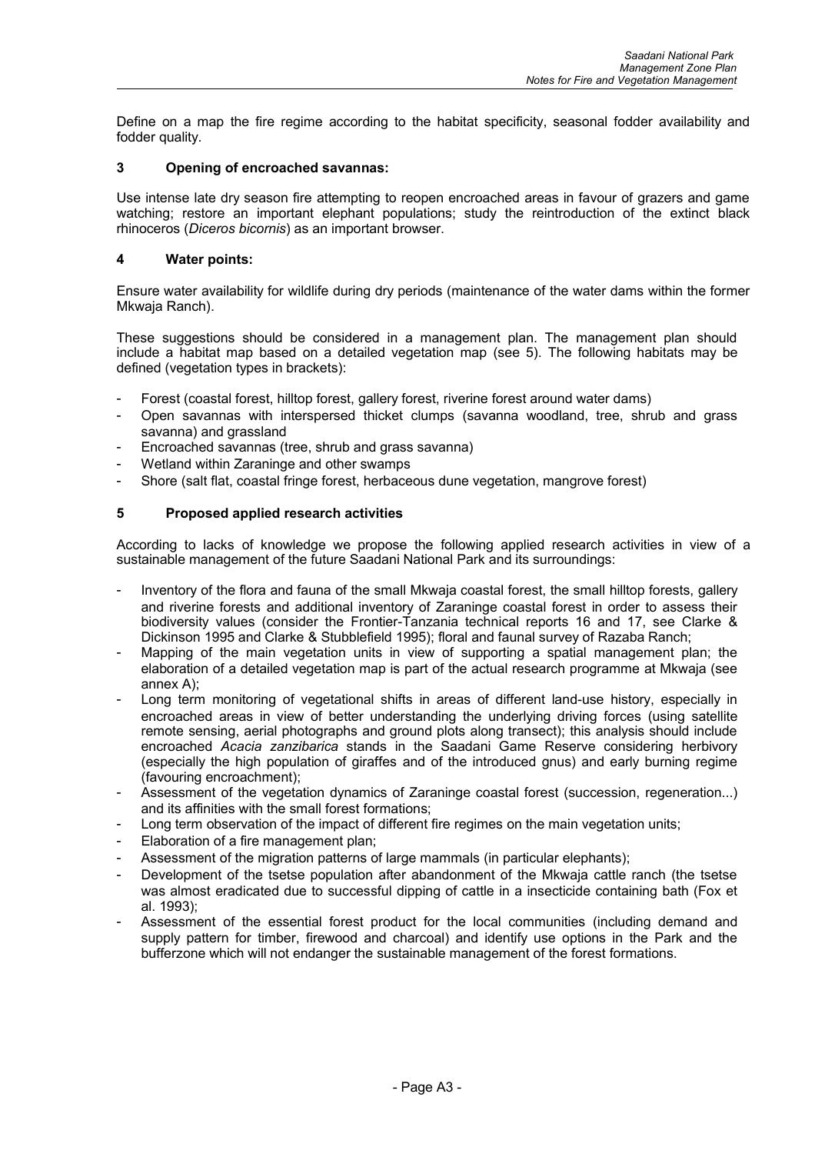Define on a map the fire regime according to the habitat specificity, seasonal fodder availability and fodder quality.

### **3 Opening of encroached savannas:**

Use intense late dry season fire attempting to reopen encroached areas in favour of grazers and game watching; restore an important elephant populations; study the reintroduction of the extinct black rhinoceros (*Diceros bicornis*) as an important browser.

#### **4 Water points:**

Ensure water availability for wildlife during dry periods (maintenance of the water dams within the former Mkwaja Ranch).

These suggestions should be considered in a management plan. The management plan should include a habitat map based on a detailed vegetation map (see 5). The following habitats may be defined (vegetation types in brackets):

- Forest (coastal forest, hilltop forest, gallery forest, riverine forest around water dams)
- Open savannas with interspersed thicket clumps (savanna woodland, tree, shrub and grass savanna) and grassland
- Encroached savannas (tree, shrub and grass savanna)
- Wetland within Zaraninge and other swamps
- Shore (salt flat, coastal fringe forest, herbaceous dune vegetation, mangrove forest)

#### **5 Proposed applied research activities**

According to lacks of knowledge we propose the following applied research activities in view of a sustainable management of the future Saadani National Park and its surroundings:

- Inventory of the flora and fauna of the small Mkwaja coastal forest, the small hilltop forests, gallery and riverine forests and additional inventory of Zaraninge coastal forest in order to assess their biodiversity values (consider the Frontier-Tanzania technical reports 16 and 17, see Clarke & Dickinson 1995 and Clarke & Stubblefield 1995); floral and faunal survey of Razaba Ranch;
- Mapping of the main vegetation units in view of supporting a spatial management plan; the elaboration of a detailed vegetation map is part of the actual research programme at Mkwaja (see annex A);
- Long term monitoring of vegetational shifts in areas of different land-use history, especially in encroached areas in view of better understanding the underlying driving forces (using satellite remote sensing, aerial photographs and ground plots along transect); this analysis should include encroached *Acacia zanzibarica* stands in the Saadani Game Reserve considering herbivory (especially the high population of giraffes and of the introduced gnus) and early burning regime (favouring encroachment);
- Assessment of the vegetation dynamics of Zaraninge coastal forest (succession, regeneration...) and its affinities with the small forest formations;
- Long term observation of the impact of different fire regimes on the main vegetation units;
- Elaboration of a fire management plan;
- Assessment of the migration patterns of large mammals (in particular elephants);
- Development of the tsetse population after abandonment of the Mkwaja cattle ranch (the tsetse was almost eradicated due to successful dipping of cattle in a insecticide containing bath (Fox et al. 1993);
- Assessment of the essential forest product for the local communities (including demand and supply pattern for timber, firewood and charcoal) and identify use options in the Park and the bufferzone which will not endanger the sustainable management of the forest formations.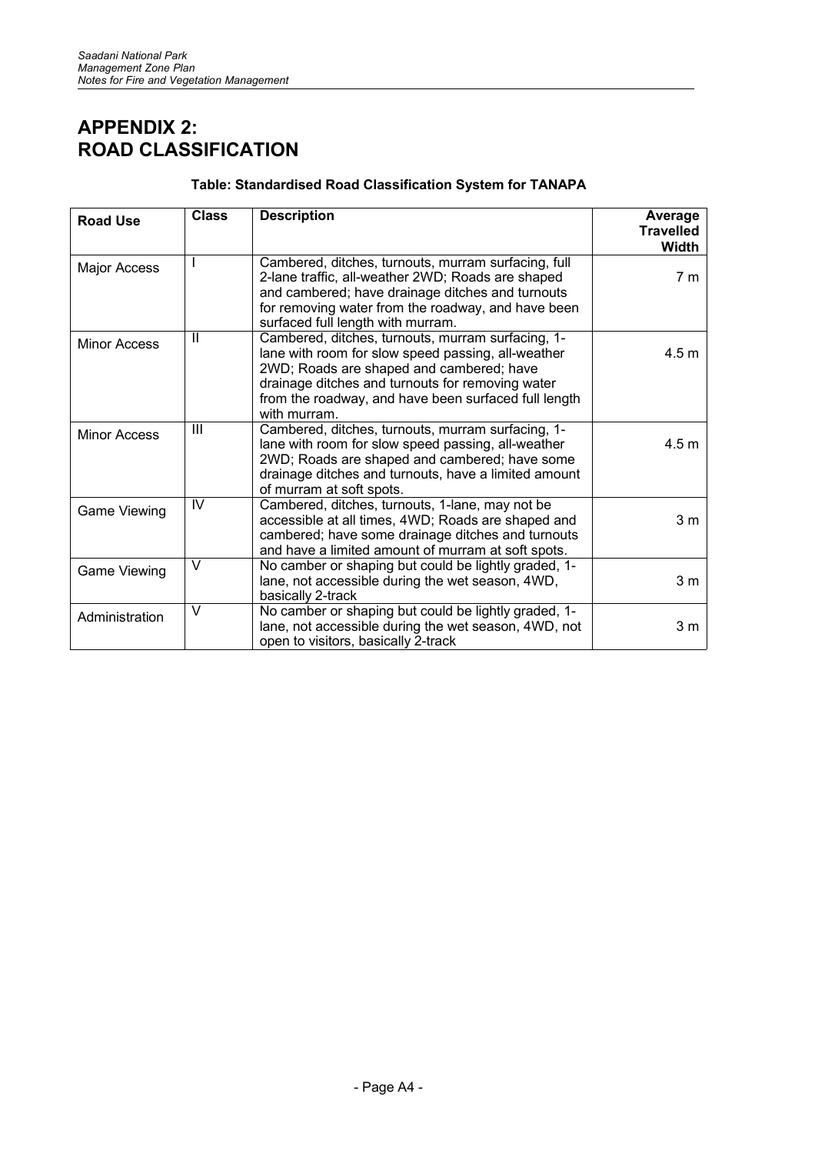## **APPENDIX 2: ROAD CLASSIFICATION**

## **Table: Standardised Road Classification System for TANAPA**

| <b>Road Use</b>     | <b>Class</b>   | <b>Description</b>                                                                                                                                                                                                                                                              | Average<br><b>Travelled</b><br>Width |
|---------------------|----------------|---------------------------------------------------------------------------------------------------------------------------------------------------------------------------------------------------------------------------------------------------------------------------------|--------------------------------------|
| Major Access        |                | Cambered, ditches, turnouts, murram surfacing, full<br>2-lane traffic, all-weather 2WD; Roads are shaped<br>and cambered; have drainage ditches and turnouts<br>for removing water from the roadway, and have been<br>surfaced full length with murram.                         | 7 <sub>m</sub>                       |
| <b>Minor Access</b> | $\mathbf{H}$   | Cambered, ditches, turnouts, murram surfacing, 1-<br>lane with room for slow speed passing, all-weather<br>2WD; Roads are shaped and cambered; have<br>drainage ditches and turnouts for removing water<br>from the roadway, and have been surfaced full length<br>with murram. | 4.5 <sub>m</sub>                     |
| <b>Minor Access</b> | $\mathbf{III}$ | Cambered, ditches, turnouts, murram surfacing, 1-<br>lane with room for slow speed passing, all-weather<br>2WD; Roads are shaped and cambered; have some<br>drainage ditches and turnouts, have a limited amount<br>of murram at soft spots.                                    | 4.5 <sub>m</sub>                     |
| Game Viewing        | IV             | Cambered, ditches, turnouts, 1-lane, may not be<br>accessible at all times, 4WD; Roads are shaped and<br>cambered; have some drainage ditches and turnouts<br>and have a limited amount of murram at soft spots.                                                                | 3 <sub>m</sub>                       |
| Game Viewing        | $\vee$         | No camber or shaping but could be lightly graded, 1-<br>lane, not accessible during the wet season, 4WD,<br>basically 2-track                                                                                                                                                   | 3 <sub>m</sub>                       |
| Administration      | V              | No camber or shaping but could be lightly graded, 1-<br>lane, not accessible during the wet season, 4WD, not<br>open to visitors, basically 2-track                                                                                                                             | 3 <sub>m</sub>                       |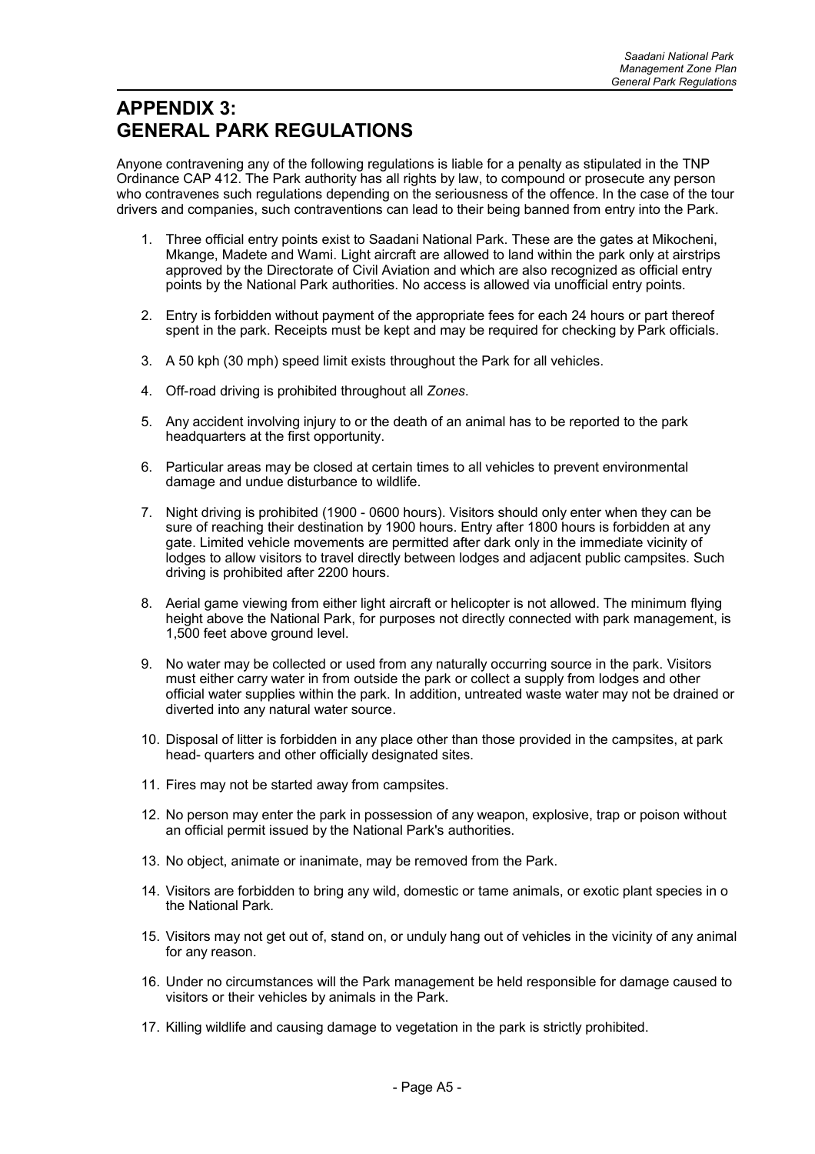## **APPENDIX 3: GENERAL PARK REGULATIONS**

Anyone contravening any of the following regulations is liable for a penalty as stipulated in the TNP Ordinance CAP 412. The Park authority has all rights by law, to compound or prosecute any person who contravenes such regulations depending on the seriousness of the offence. In the case of the tour drivers and companies, such contraventions can lead to their being banned from entry into the Park.

- 1. Three official entry points exist to Saadani National Park. These are the gates at Mikocheni, Mkange, Madete and Wami. Light aircraft are allowed to land within the park only at airstrips approved by the Directorate of Civil Aviation and which are also recognized as official entry points by the National Park authorities. No access is allowed via unofficial entry points.
- 2. Entry is forbidden without payment of the appropriate fees for each 24 hours or part thereof spent in the park. Receipts must be kept and may be required for checking by Park officials.
- 3. A 50 kph (30 mph) speed limit exists throughout the Park for all vehicles.
- 4. Off-road driving is prohibited throughout all *Zones*.
- 5. Any accident involving injury to or the death of an animal has to be reported to the park headquarters at the first opportunity.
- 6. Particular areas may be closed at certain times to all vehicles to prevent environmental damage and undue disturbance to wildlife.
- 7. Night driving is prohibited (1900 0600 hours). Visitors should only enter when they can be sure of reaching their destination by 1900 hours. Entry after 1800 hours is forbidden at any gate. Limited vehicle movements are permitted after dark only in the immediate vicinity of lodges to allow visitors to travel directly between lodges and adjacent public campsites. Such driving is prohibited after 2200 hours.
- 8. Aerial game viewing from either light aircraft or helicopter is not allowed. The minimum flying height above the National Park, for purposes not directly connected with park management, is 1,500 feet above ground level.
- 9. No water may be collected or used from any naturally occurring source in the park. Visitors must either carry water in from outside the park or collect a supply from lodges and other official water supplies within the park. In addition, untreated waste water may not be drained or diverted into any natural water source.
- 10. Disposal of litter is forbidden in any place other than those provided in the campsites, at park head- quarters and other officially designated sites.
- 11. Fires may not be started away from campsites.
- 12. No person may enter the park in possession of any weapon, explosive, trap or poison without an official permit issued by the National Park's authorities.
- 13. No object, animate or inanimate, may be removed from the Park.
- 14. Visitors are forbidden to bring any wild, domestic or tame animals, or exotic plant species in o the National Park*.*
- 15. Visitors may not get out of, stand on, or unduly hang out of vehicles in the vicinity of any animal for any reason.
- 16. Under no circumstances will the Park management be held responsible for damage caused to visitors or their vehicles by animals in the Park.
- 17. Killing wildlife and causing damage to vegetation in the park is strictly prohibited.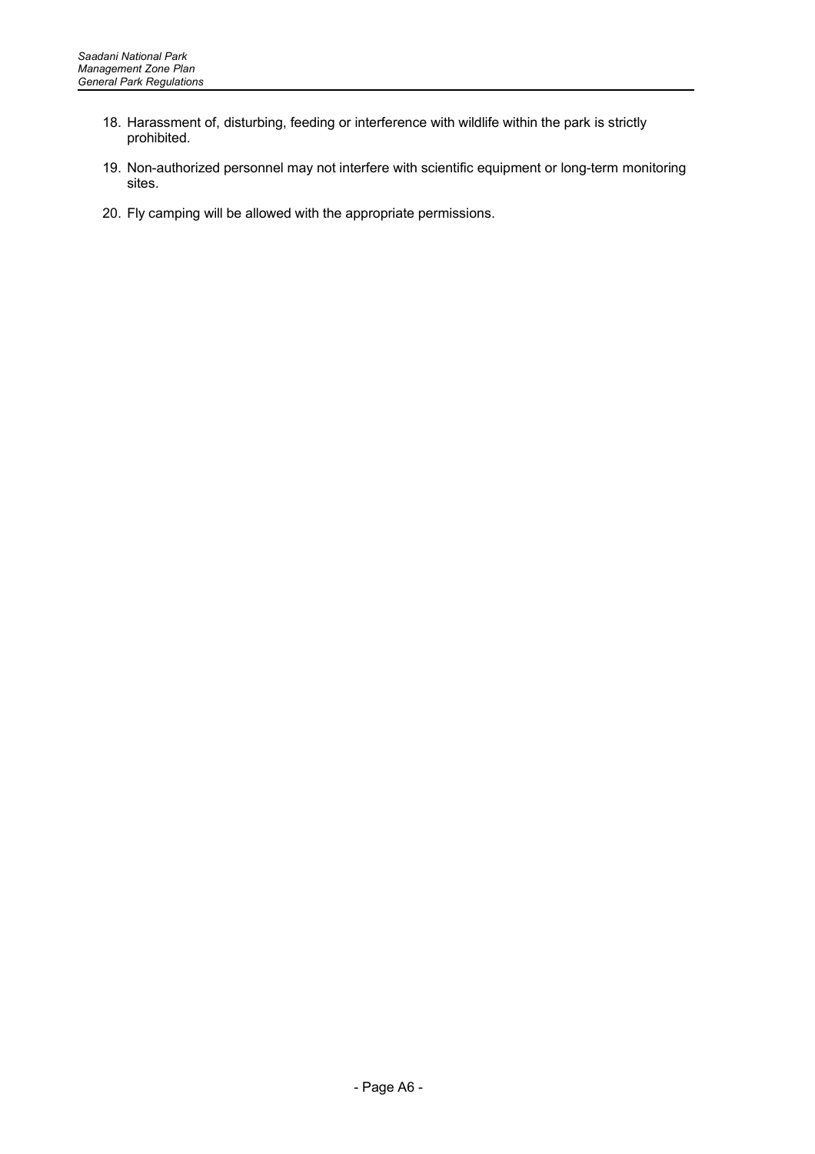- 18. Harassment of, disturbing, feeding or interference with wildlife within the park is strictly prohibited.
- 19. Non-authorized personnel may not interfere with scientific equipment or long-term monitoring sites.
- 20. Fly camping will be allowed with the appropriate permissions.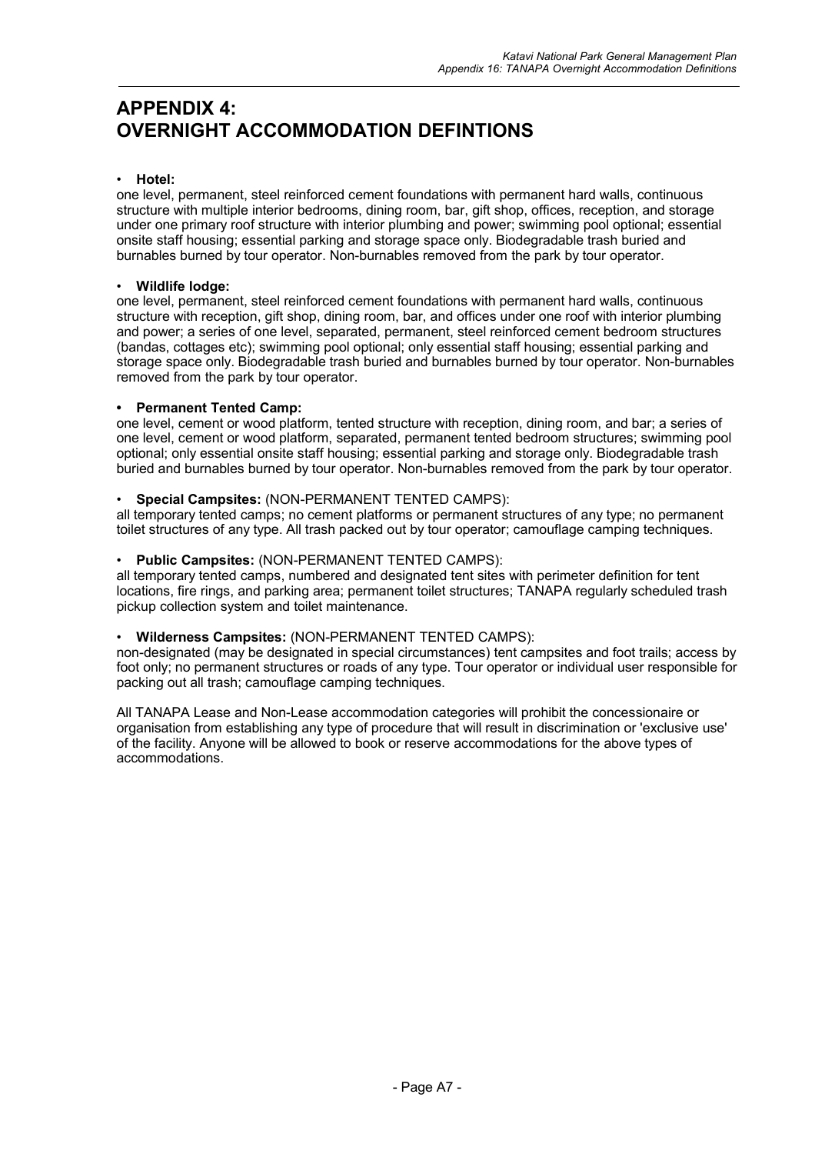## **APPENDIX 4: OVERNIGHT ACCOMMODATION DEFINTIONS**

## • **Hotel:**

one level, permanent, steel reinforced cement foundations with permanent hard walls, continuous structure with multiple interior bedrooms, dining room, bar, gift shop, offices, reception, and storage under one primary roof structure with interior plumbing and power; swimming pool optional; essential onsite staff housing; essential parking and storage space only. Biodegradable trash buried and burnables burned by tour operator. Non-burnables removed from the park by tour operator.

### • **Wildlife lodge:**

one level, permanent, steel reinforced cement foundations with permanent hard walls, continuous structure with reception, gift shop, dining room, bar, and offices under one roof with interior plumbing and power; a series of one level, separated, permanent, steel reinforced cement bedroom structures (bandas, cottages etc); swimming pool optional; only essential staff housing; essential parking and storage space only. Biodegradable trash buried and burnables burned by tour operator. Non-burnables removed from the park by tour operator.

## **• Permanent Tented Camp:**

one level, cement or wood platform, tented structure with reception, dining room, and bar; a series of one level, cement or wood platform, separated, permanent tented bedroom structures; swimming pool optional; only essential onsite staff housing; essential parking and storage only. Biodegradable trash buried and burnables burned by tour operator. Non-burnables removed from the park by tour operator.

#### • **Special Campsites:** (NON-PERMANENT TENTED CAMPS):

all temporary tented camps; no cement platforms or permanent structures of any type; no permanent toilet structures of any type. All trash packed out by tour operator; camouflage camping techniques.

#### • **Public Campsites:** (NON-PERMANENT TENTED CAMPS):

all temporary tented camps, numbered and designated tent sites with perimeter definition for tent locations, fire rings, and parking area; permanent toilet structures; TANAPA regularly scheduled trash pickup collection system and toilet maintenance.

## • **Wilderness Campsites:** (NON-PERMANENT TENTED CAMPS):

non-designated (may be designated in special circumstances) tent campsites and foot trails; access by foot only; no permanent structures or roads of any type. Tour operator or individual user responsible for packing out all trash; camouflage camping techniques.

All TANAPA Lease and Non-Lease accommodation categories will prohibit the concessionaire or organisation from establishing any type of procedure that will result in discrimination or 'exclusive use' of the facility. Anyone will be allowed to book or reserve accommodations for the above types of accommodations.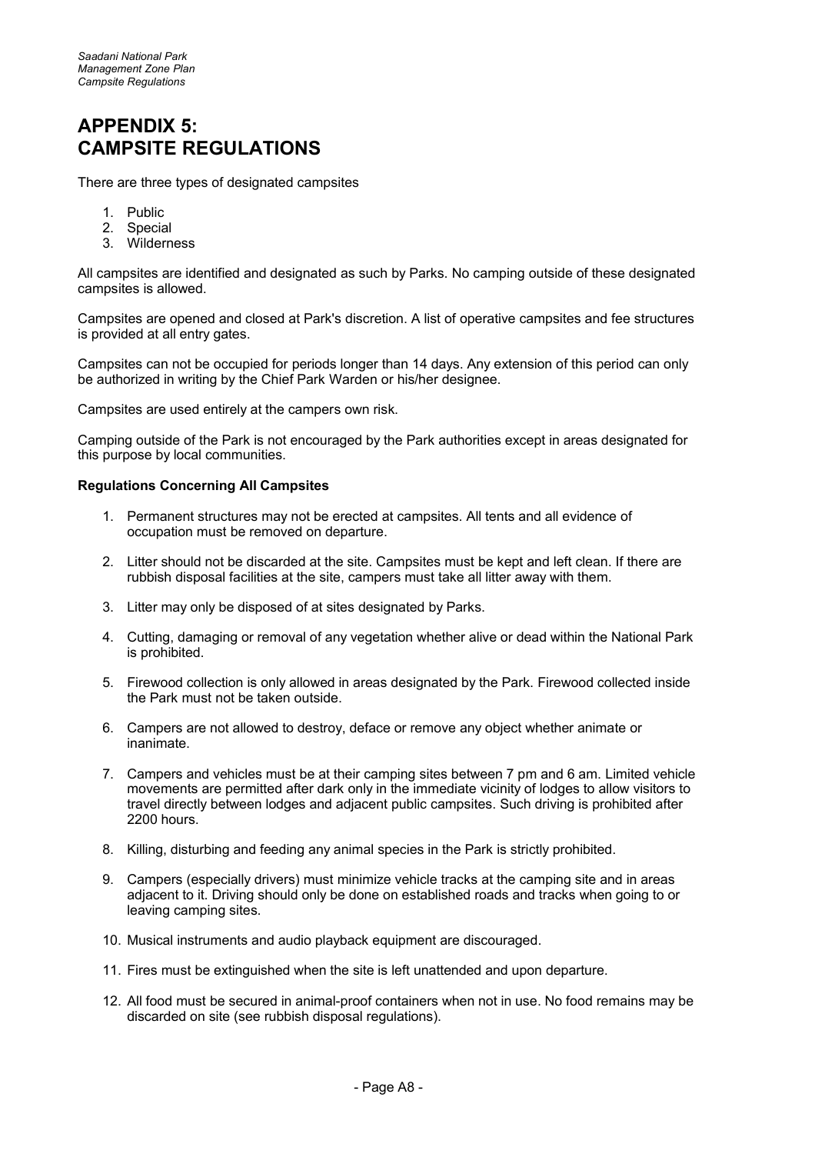## **APPENDIX 5: CAMPSITE REGULATIONS**

There are three types of designated campsites

- 1. Public
- 2. Special
- 3. Wilderness

All campsites are identified and designated as such by Parks. No camping outside of these designated campsites is allowed.

Campsites are opened and closed at Park's discretion. A list of operative campsites and fee structures is provided at all entry gates.

Campsites can not be occupied for periods longer than 14 days. Any extension of this period can only be authorized in writing by the Chief Park Warden or his/her designee.

Campsites are used entirely at the campers own risk.

Camping outside of the Park is not encouraged by the Park authorities except in areas designated for this purpose by local communities.

#### **Regulations Concerning All Campsites**

- 1. Permanent structures may not be erected at campsites. All tents and all evidence of occupation must be removed on departure.
- 2. Litter should not be discarded at the site. Campsites must be kept and left clean. If there are rubbish disposal facilities at the site, campers must take all litter away with them.
- 3. Litter may only be disposed of at sites designated by Parks.
- 4. Cutting, damaging or removal of any vegetation whether alive or dead within the National Park is prohibited.
- 5. Firewood collection is only allowed in areas designated by the Park. Firewood collected inside the Park must not be taken outside.
- 6. Campers are not allowed to destroy, deface or remove any object whether animate or inanimate.
- 7. Campers and vehicles must be at their camping sites between 7 pm and 6 am. Limited vehicle movements are permitted after dark only in the immediate vicinity of lodges to allow visitors to travel directly between lodges and adjacent public campsites. Such driving is prohibited after 2200 hours.
- 8. Killing, disturbing and feeding any animal species in the Park is strictly prohibited.
- 9. Campers (especially drivers) must minimize vehicle tracks at the camping site and in areas adjacent to it. Driving should only be done on established roads and tracks when going to or leaving camping sites.
- 10. Musical instruments and audio playback equipment are discouraged.
- 11. Fires must be extinguished when the site is left unattended and upon departure.
- 12. All food must be secured in animal-proof containers when not in use. No food remains may be discarded on site (see rubbish disposal regulations).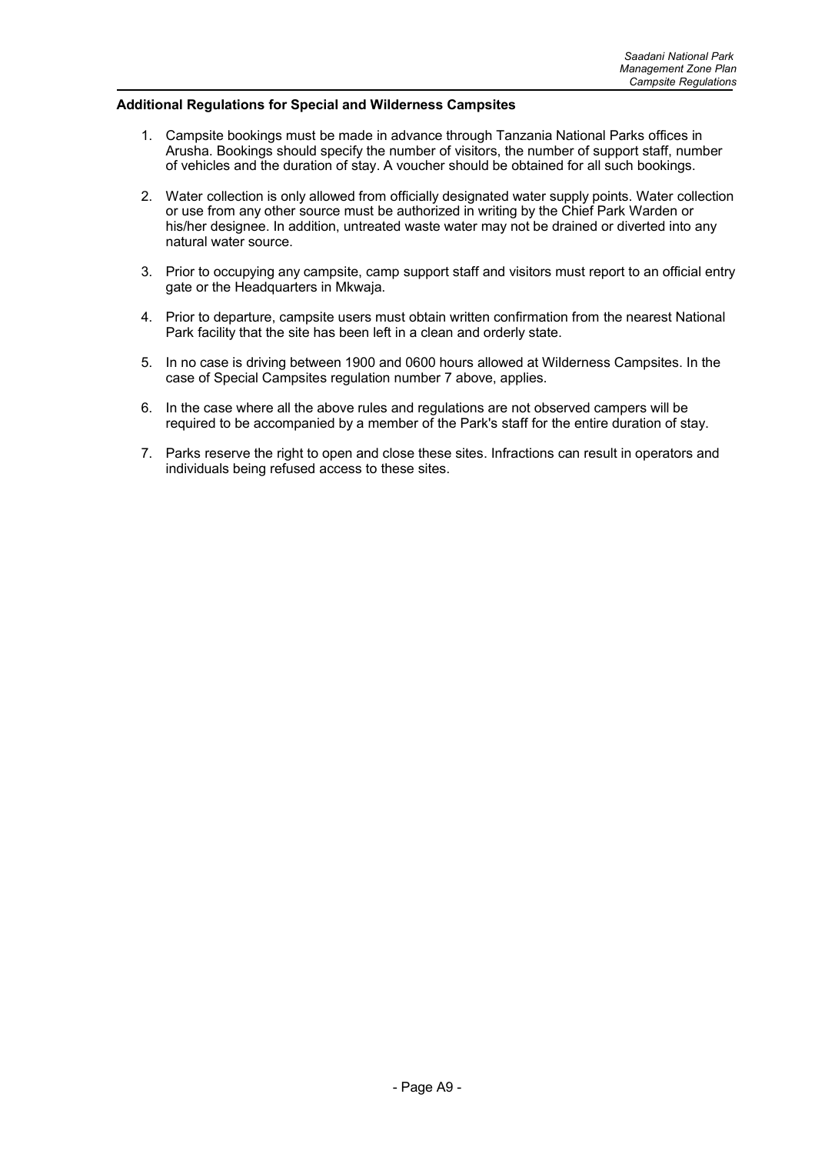#### **Additional Regulations for Special and Wilderness Campsites**

- 1. Campsite bookings must be made in advance through Tanzania National Parks offices in Arusha. Bookings should specify the number of visitors, the number of support staff, number of vehicles and the duration of stay. A voucher should be obtained for all such bookings.
- 2. Water collection is only allowed from officially designated water supply points. Water collection or use from any other source must be authorized in writing by the Chief Park Warden or his/her designee. In addition, untreated waste water may not be drained or diverted into any natural water source.
- 3. Prior to occupying any campsite, camp support staff and visitors must report to an official entry gate or the Headquarters in Mkwaja.
- 4. Prior to departure, campsite users must obtain written confirmation from the nearest National Park facility that the site has been left in a clean and orderly state.
- 5. In no case is driving between 1900 and 0600 hours allowed at Wilderness Campsites. In the case of Special Campsites regulation number 7 above, applies.
- 6. In the case where all the above rules and regulations are not observed campers will be required to be accompanied by a member of the Park's staff for the entire duration of stay.
- 7. Parks reserve the right to open and close these sites. Infractions can result in operators and individuals being refused access to these sites.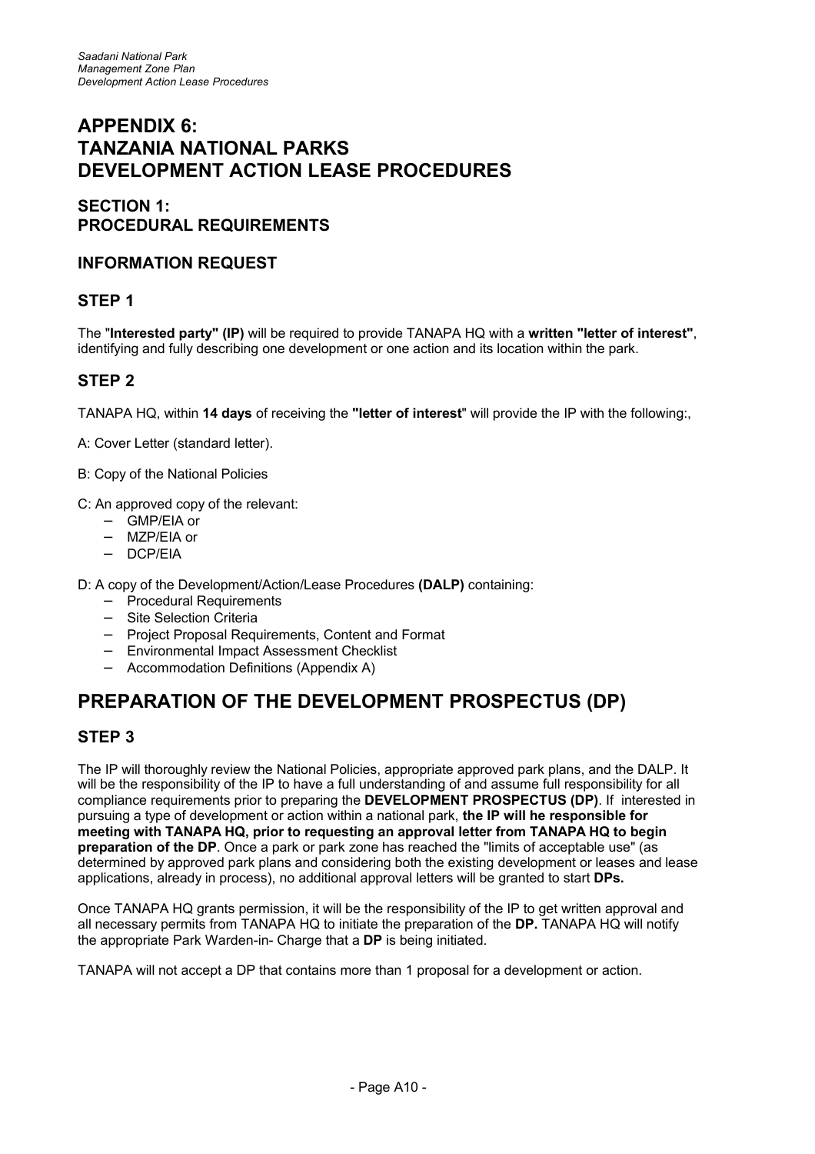## **APPENDIX 6: TANZANIA NATIONAL PARKS DEVELOPMENT ACTION LEASE PROCEDURES**

## **SECTION 1: PROCEDURAL REQUIREMENTS**

## **INFORMATION REQUEST**

## **STEP 1**

The "**Interested party" (IP)** will be required to provide TANAPA HQ with a **written "letter of interest"**, identifying and fully describing one development or one action and its location within the park.

## **STEP 2**

TANAPA HQ, within **14 days** of receiving the **"letter of interest**" will provide the IP with the following:,

A: Cover Letter (standard letter).

- B: Copy of the National Policies
- C: An approved copy of the relevant:
	- − GMP/EIA or
	- − MZP/EIA or
	- − DCP/EIA

D: A copy of the Development/Action/Lease Procedures **(DALP)** containing:

- − Procedural Requirements
- − Site Selection Criteria
- − Project Proposal Requirements, Content and Format
- − Environmental Impact Assessment Checklist
- − Accommodation Definitions (Appendix A)

## **PREPARATION OF THE DEVELOPMENT PROSPECTUS (DP)**

## **STEP 3**

The IP will thoroughly review the National Policies, appropriate approved park plans, and the DALP. It will be the responsibility of the IP to have a full understanding of and assume full responsibility for all compliance requirements prior to preparing the **DEVELOPMENT PROSPECTUS (DP)**. If interested in pursuing a type of development or action within a national park, **the IP will he responsible for meeting with TANAPA HQ, prior to requesting an approval letter from TANAPA HQ to begin preparation of the DP**. Once a park or park zone has reached the "limits of acceptable use" (as determined by approved park plans and considering both the existing development or leases and lease applications, already in process), no additional approval letters will be granted to start **DPs.**

Once TANAPA HQ grants permission, it will be the responsibility of the IP to get written approval and all necessary permits from TANAPA HQ to initiate the preparation of the **DP.** TANAPA HQ will notify the appropriate Park Warden-in- Charge that a **DP** is being initiated.

TANAPA will not accept a DP that contains more than 1 proposal for a development or action.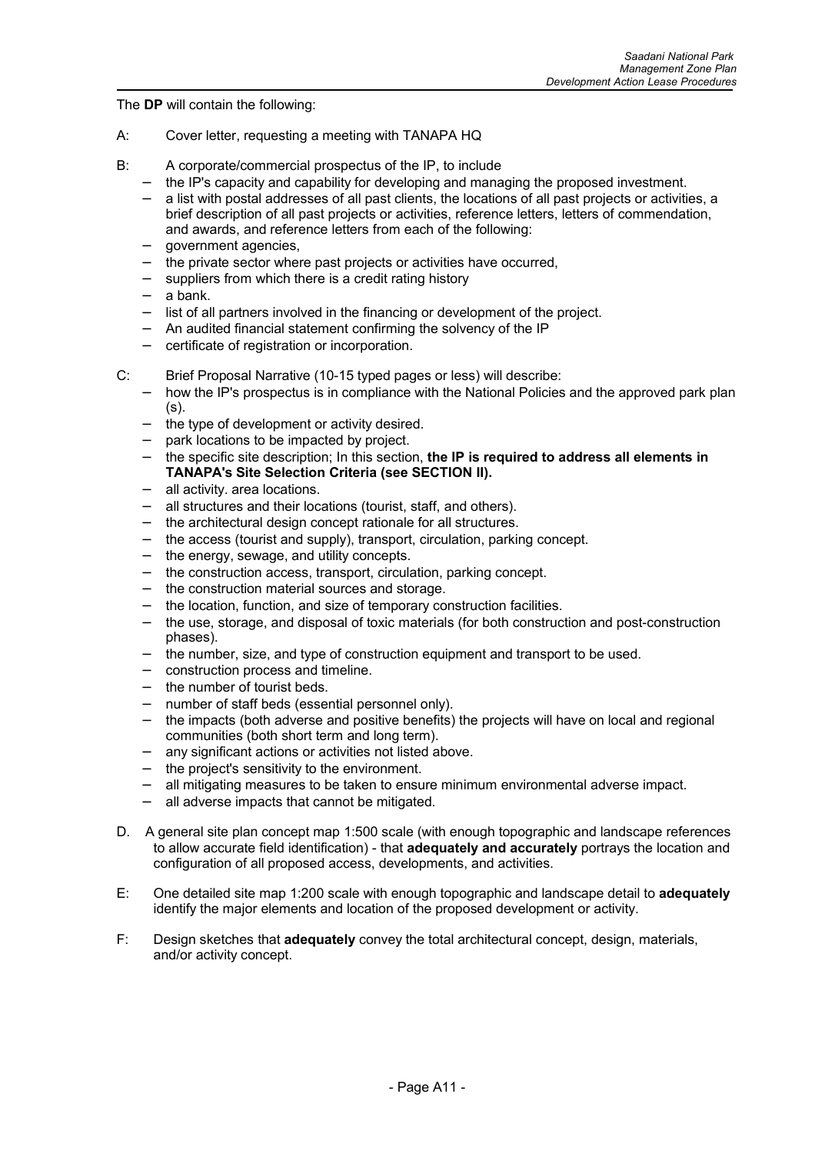The **DP** will contain the following:

- A: Cover letter, requesting a meeting with TANAPA HQ
- B: A corporate/commercial prospectus of the IP, to include
	- − the IP's capacity and capability for developing and managing the proposed investment.
	- − a list with postal addresses of all past clients, the locations of all past projects or activities, a brief description of all past projects or activities, reference letters, letters of commendation, and awards, and reference letters from each of the following:
	- − government agencies,
	- the private sector where past projects or activities have occurred,
	- − suppliers from which there is a credit rating history
	- − a bank.
	- − list of all partners involved in the financing or development of the project.
	- − An audited financial statement confirming the solvency of the IP
	- − certificate of registration or incorporation.
- C: Brief Proposal Narrative (10-15 typed pages or less) will describe:
	- − how the IP's prospectus is in compliance with the National Policies and the approved park plan (s).
	- − the type of development or activity desired.
	- − park locations to be impacted by project.
	- − the specific site description; In this section, **the IP is required to address all elements in TANAPA's Site Selection Criteria (see SECTION II).**
	- − all activity. area locations.
	- − all structures and their locations (tourist, staff, and others).
	- the architectural design concept rationale for all structures.
	- the access (tourist and supply), transport, circulation, parking concept.
	- − the energy, sewage, and utility concepts.
	- − the construction access, transport, circulation, parking concept.
	- − the construction material sources and storage.
	- − the location, function, and size of temporary construction facilities.
	- − the use, storage, and disposal of toxic materials (for both construction and post-construction phases).
	- − the number, size, and type of construction equipment and transport to be used.
	- − construction process and timeline.
	- − the number of tourist beds.
	- − number of staff beds (essential personnel only).
	- the impacts (both adverse and positive benefits) the projects will have on local and regional communities (both short term and long term).
	- any significant actions or activities not listed above.
	- − the project's sensitivity to the environment.
	- − all mitigating measures to be taken to ensure minimum environmental adverse impact.
	- − all adverse impacts that cannot be mitigated.
- D. A general site plan concept map 1:500 scale (with enough topographic and landscape references to allow accurate field identification) - that **adequately and accurately** portrays the location and configuration of all proposed access, developments, and activities.
- E: One detailed site map 1:200 scale with enough topographic and landscape detail to **adequately** identify the major elements and location of the proposed development or activity.
- F: Design sketches that **adequately** convey the total architectural concept, design, materials, and/or activity concept.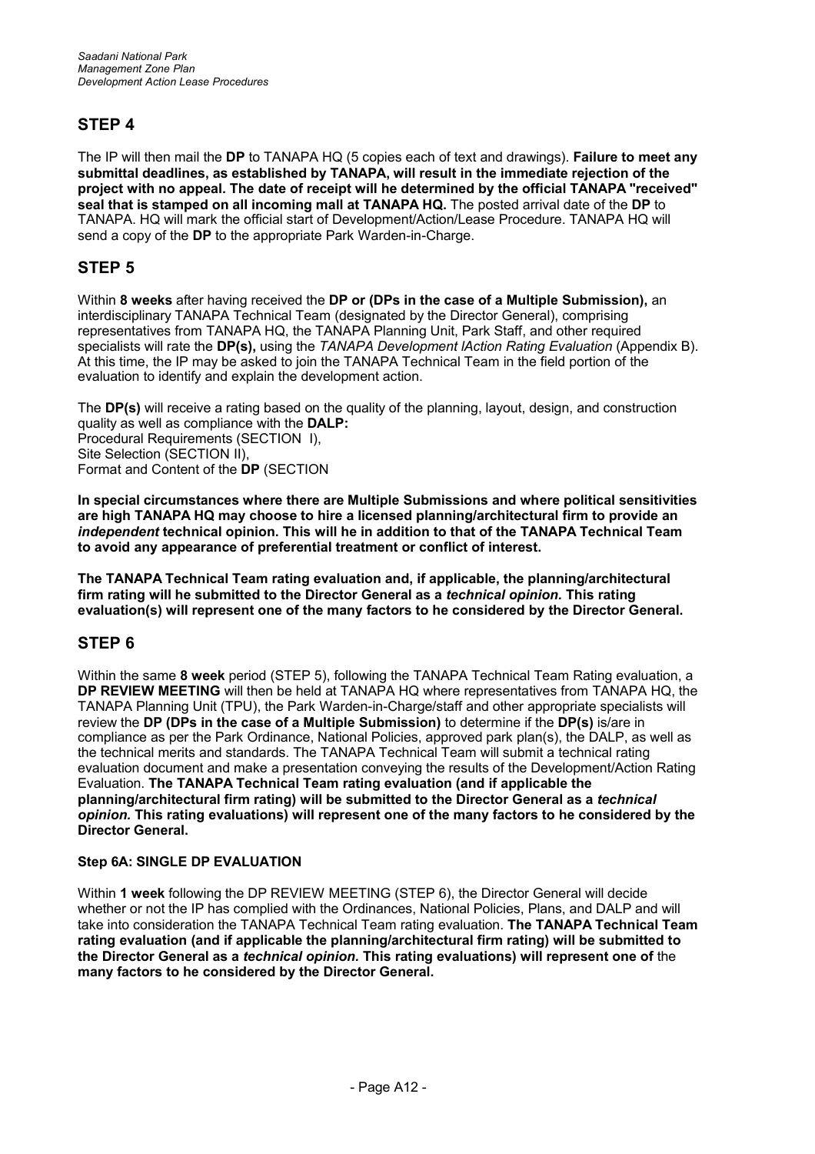## **STEP 4**

The IP will then mail the **DP** to TANAPA HQ (5 copies each of text and drawings). **Failure to meet any submittal deadlines, as established by TANAPA, will result in the immediate rejection of the project with no appeal. The date of receipt will he determined by the official TANAPA "received" seal that is stamped on all incoming mall at TANAPA HQ.** The posted arrival date of the **DP** to TANAPA. HQ will mark the official start of Development/Action/Lease Procedure. TANAPA HQ will send a copy of the **DP** to the appropriate Park Warden-in-Charge.

## **STEP 5**

Within **8 weeks** after having received the **DP or (DPs in the case of a Multiple Submission),** an interdisciplinary TANAPA Technical Team (designated by the Director General), comprising representatives from TANAPA HQ, the TANAPA Planning Unit, Park Staff, and other required specialists will rate the **DP(s),** using the *TANAPA Development lAction Rating Evaluation* (Appendix B). At this time, the IP may be asked to join the TANAPA Technical Team in the field portion of the evaluation to identify and explain the development action.

The **DP(s)** will receive a rating based on the quality of the planning, layout, design, and construction quality as well as compliance with the **DALP:** Procedural Requirements (SECTION I), Site Selection (SECTION II). Format and Content of the **DP** (SECTION

**In special circumstances where there are Multiple Submissions and where political sensitivities are high TANAPA HQ may choose to hire a licensed planning/architectural firm to provide an** *independent* **technical opinion. This will he in addition to that of the TANAPA Technical Team to avoid any appearance of preferential treatment or conflict of interest.**

**The TANAPA Technical Team rating evaluation and, if applicable, the planning/architectural firm rating will he submitted to the Director General as a** *technical opinion.* **This rating evaluation(s) will represent one of the many factors to he considered by the Director General.**

## **STEP 6**

Within the same **8 week** period (STEP 5), following the TANAPA Technical Team Rating evaluation, a **DP REVIEW MEETING** will then be held at TANAPA HQ where representatives from TANAPA HQ, the TANAPA Planning Unit (TPU), the Park Warden-in-Charge/staff and other appropriate specialists will review the **DP (DPs in the case of a Multiple Submission)** to determine if the **DP(s)** is/are in compliance as per the Park Ordinance, National Policies, approved park plan(s), the DALP, as well as the technical merits and standards. The TANAPA Technical Team will submit a technical rating evaluation document and make a presentation conveying the results of the Development/Action Rating Evaluation. **The TANAPA Technical Team rating evaluation (and if applicable the planning/architectural firm rating) will be submitted to the Director General as a** *technical opinion.* **This rating evaluations) will represent one of the many factors to he considered by the Director General.**

## **Step 6A: SINGLE DP EVALUATION**

Within **1 week** following the DP REVIEW MEETING (STEP 6), the Director General will decide whether or not the IP has complied with the Ordinances, National Policies, Plans, and DALP and will take into consideration the TANAPA Technical Team rating evaluation. **The TANAPA Technical Team rating evaluation (and if applicable the planning/architectural firm rating) will be submitted to the Director General as a** *technical opinion.* **This rating evaluations) will represent one of** the **many factors to he considered by the Director General.**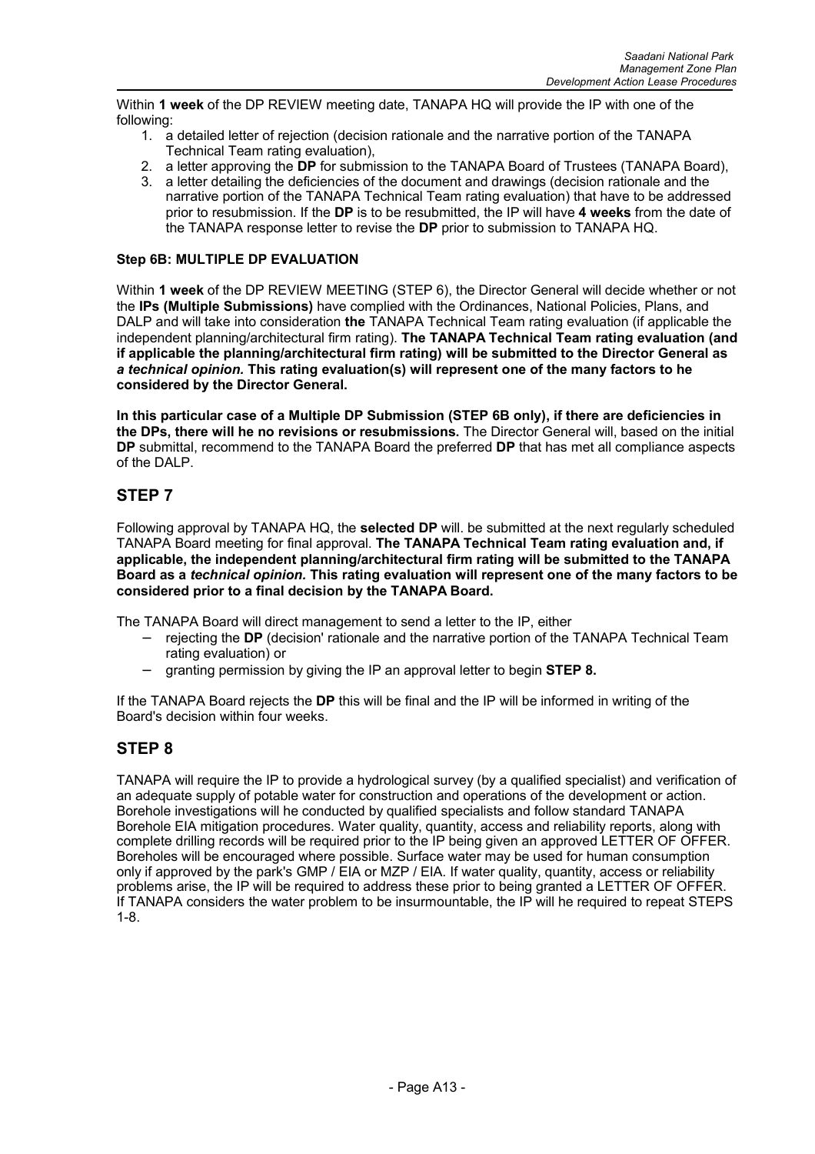Within **1 week** of the DP REVIEW meeting date, TANAPA HQ will provide the IP with one of the following:

- 1. a detailed letter of rejection (decision rationale and the narrative portion of the TANAPA Technical Team rating evaluation),
- 2. a letter approving the **DP** for submission to the TANAPA Board of Trustees (TANAPA Board),
- 3. a letter detailing the deficiencies of the document and drawings (decision rationale and the narrative portion of the TANAPA Technical Team rating evaluation) that have to be addressed prior to resubmission. If the **DP** is to be resubmitted, the IP will have **4 weeks** from the date of the TANAPA response letter to revise the **DP** prior to submission to TANAPA HQ.

## **Step 6B: MULTIPLE DP EVALUATION**

Within **1 week** of the DP REVIEW MEETING (STEP 6), the Director General will decide whether or not the **IPs (Multiple Submissions)** have complied with the Ordinances, National Policies, Plans, and DALP and will take into consideration **the** TANAPA Technical Team rating evaluation (if applicable the independent planning/architectural firm rating). **The TANAPA Technical Team rating evaluation (and if applicable the planning/architectural firm rating) will be submitted to the Director General as** *a technical opinion.* **This rating evaluation(s) will represent one of the many factors to he considered by the Director General.**

**In this particular case of a Multiple DP Submission (STEP 6B only), if there are deficiencies in the DPs, there will he no revisions or resubmissions.** The Director General will, based on the initial **DP** submittal, recommend to the TANAPA Board the preferred **DP** that has met all compliance aspects of the DALP.

## **STEP 7**

Following approval by TANAPA HQ, the **selected DP** will. be submitted at the next regularly scheduled TANAPA Board meeting for final approval. **The TANAPA Technical Team rating evaluation and, if applicable, the independent planning/architectural firm rating will be submitted to the TANAPA Board as a** *technical opinion.* **This rating evaluation will represent one of the many factors to be considered prior to a final decision by the TANAPA Board.**

The TANAPA Board will direct management to send a letter to the IP, either

- − rejecting the **DP** (decision' rationale and the narrative portion of the TANAPA Technical Team rating evaluation) or
- − granting permission by giving the IP an approval letter to begin **STEP 8.**

If the TANAPA Board rejects the **DP** this will be final and the IP will be informed in writing of the Board's decision within four weeks.

## **STEP 8**

TANAPA will require the IP to provide a hydrological survey (by a qualified specialist) and verification of an adequate supply of potable water for construction and operations of the development or action. Borehole investigations will he conducted by qualified specialists and follow standard TANAPA Borehole EIA mitigation procedures. Water quality, quantity, access and reliability reports, along with complete drilling records will be required prior to the IP being given an approved LETTER OF OFFER. Boreholes will be encouraged where possible. Surface water may be used for human consumption only if approved by the park's GMP / EIA or MZP / EIA. If water quality, quantity, access or reliability problems arise, the IP will be required to address these prior to being granted a LETTER OF OFFER. If TANAPA considers the water problem to be insurmountable, the IP will he required to repeat STEPS 1-8.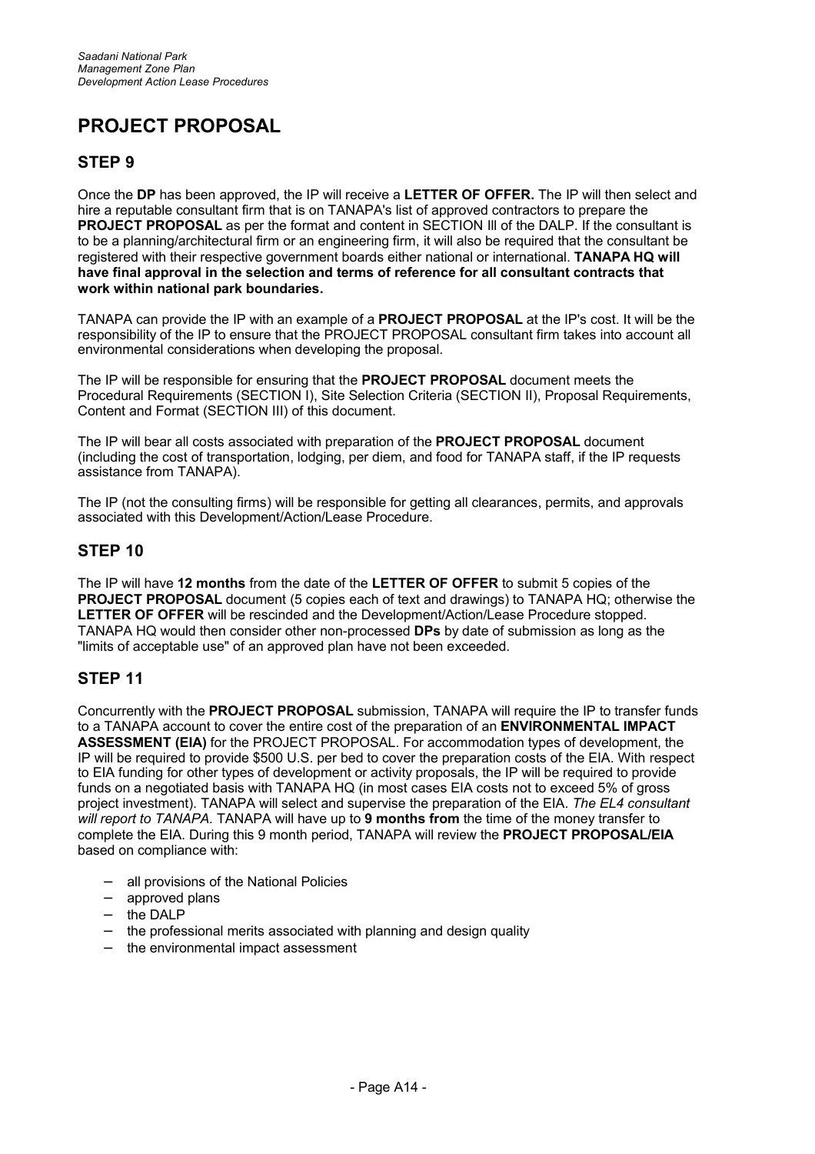## **PROJECT PROPOSAL**

## **STEP 9**

Once the **DP** has been approved, the IP will receive a **LETTER OF OFFER.** The IP will then select and hire a reputable consultant firm that is on TANAPA's list of approved contractors to prepare the **PROJECT PROPOSAL** as per the format and content in SECTION III of the DALP. If the consultant is to be a planning/architectural firm or an engineering firm, it will also be required that the consultant be registered with their respective government boards either national or international. **TANAPA HQ will have final approval in the selection and terms of reference for all consultant contracts that work within national park boundaries.**

TANAPA can provide the IP with an example of a **PROJECT PROPOSAL** at the IP's cost. It will be the responsibility of the IP to ensure that the PROJECT PROPOSAL consultant firm takes into account all environmental considerations when developing the proposal.

The IP will be responsible for ensuring that the **PROJECT PROPOSAL** document meets the Procedural Requirements (SECTION I), Site Selection Criteria (SECTION II), Proposal Requirements, Content and Format (SECTION III) of this document.

The IP will bear all costs associated with preparation of the **PROJECT PROPOSAL** document (including the cost of transportation, lodging, per diem, and food for TANAPA staff, if the IP requests assistance from TANAPA).

The IP (not the consulting firms) will be responsible for getting all clearances, permits, and approvals associated with this Development/Action/Lease Procedure.

## **STEP 10**

The IP will have **12 months** from the date of the **LETTER OF OFFER** to submit 5 copies of the **PROJECT PROPOSAL** document (5 copies each of text and drawings) to TANAPA HQ; otherwise the **LETTER OF OFFER** will be rescinded and the Development/Action/Lease Procedure stopped. TANAPA HQ would then consider other non-processed **DPs** by date of submission as long as the "limits of acceptable use" of an approved plan have not been exceeded.

## **STEP 11**

Concurrently with the **PROJECT PROPOSAL** submission, TANAPA will require the IP to transfer funds to a TANAPA account to cover the entire cost of the preparation of an **ENVIRONMENTAL IMPACT ASSESSMENT (EIA)** for the PROJECT PROPOSAL. For accommodation types of development, the IP will be required to provide \$500 U.S. per bed to cover the preparation costs of the EIA. With respect to EIA funding for other types of development or activity proposals, the IP will be required to provide funds on a negotiated basis with TANAPA HQ (in most cases EIA costs not to exceed 5% of gross project investment). TANAPA will select and supervise the preparation of the EIA. *The EL4 consultant will report to TANAPA.* TANAPA will have up to **9 months from** the time of the money transfer to complete the EIA. During this 9 month period, TANAPA will review the **PROJECT PROPOSAL/EIA** based on compliance with:

- − all provisions of the National Policies
- − approved plans
- the DALP
- the professional merits associated with planning and design quality
- the environmental impact assessment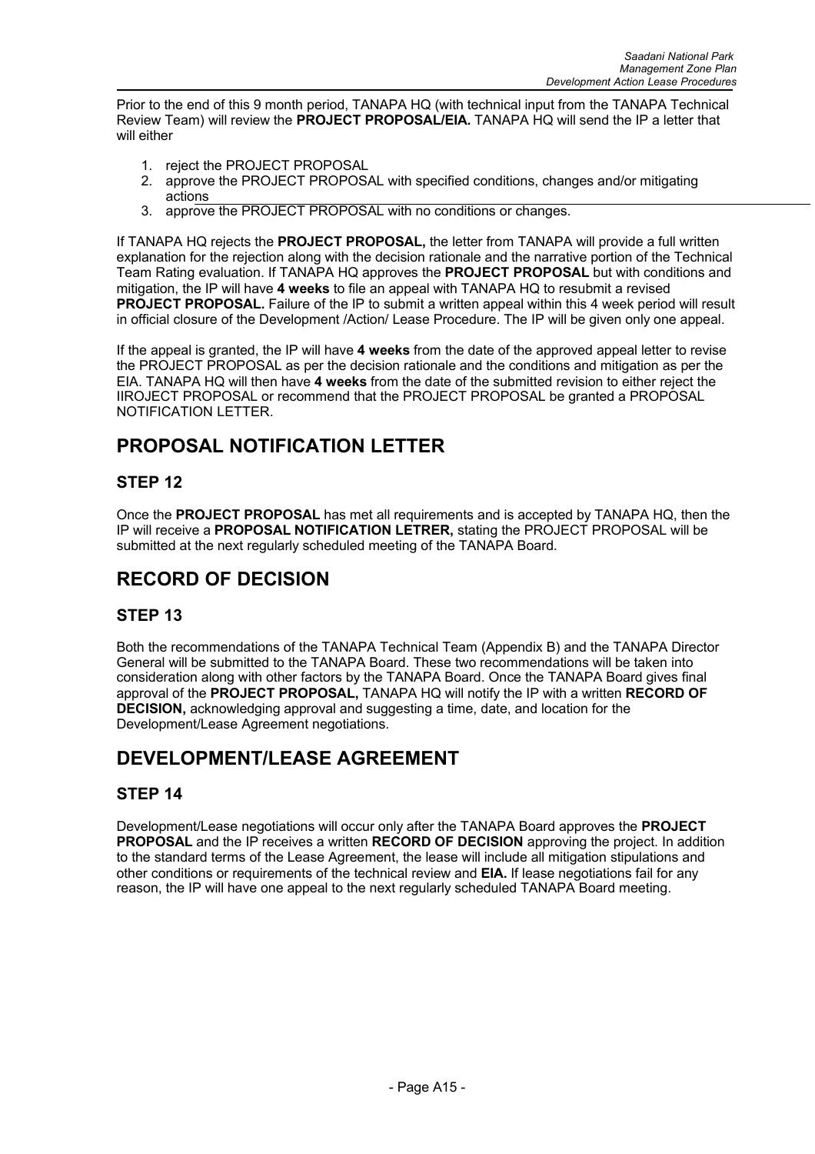Prior to the end of this 9 month period, TANAPA HQ (with technical input from the TANAPA Technical Review Team) will review the **PROJECT PROPOSAL/EIA.** TANAPA HQ will send the IP a letter that will either

- 1. reject the PROJECT PROPOSAL
- 2. approve the PROJECT PROPOSAL with specified conditions, changes and/or mitigating actions
- 3. approve the PROJECT PROPOSAL with no conditions or changes.

If TANAPA HQ rejects the **PROJECT PROPOSAL,** the letter from TANAPA will provide a full written explanation for the rejection along with the decision rationale and the narrative portion of the Technical Team Rating evaluation. If TANAPA HQ approves the **PROJECT PROPOSAL** but with conditions and mitigation, the IP will have **4 weeks** to file an appeal with TANAPA HQ to resubmit a revised **PROJECT PROPOSAL.** Failure of the IP to submit a written appeal within this 4 week period will result in official closure of the Development /Action/ Lease Procedure. The IP will be given only one appeal.

If the appeal is granted, the IP will have **4 weeks** from the date of the approved appeal letter to revise the PROJECT PROPOSAL as per the decision rationale and the conditions and mitigation as per the EIA. TANAPA HQ will then have **4 weeks** from the date of the submitted revision to either reject the IIROJECT PROPOSAL or recommend that the PROJECT PROPOSAL be granted a PROPOSAL NOTIFICATION LETTER.

## **PROPOSAL NOTIFICATION LETTER**

## **STEP 12**

Once the **PROJECT PROPOSAL** has met all requirements and is accepted by TANAPA HQ, then the IP will receive a **PROPOSAL NOTIFICATION LETRER,** stating the PROJECT PROPOSAL will be submitted at the next regularly scheduled meeting of the TANAPA Board.

## **RECORD OF DECISION**

## **STEP 13**

Both the recommendations of the TANAPA Technical Team (Appendix B) and the TANAPA Director General will be submitted to the TANAPA Board. These two recommendations will be taken into consideration along with other factors by the TANAPA Board. Once the TANAPA Board gives final approval of the **PROJECT PROPOSAL,** TANAPA HQ will notify the IP with a written **RECORD OF DECISION,** acknowledging approval and suggesting a time, date, and location for the Development/Lease Agreement negotiations.

## **DEVELOPMENT/LEASE AGREEMENT**

## **STEP 14**

Development/Lease negotiations will occur only after the TANAPA Board approves the **PROJECT PROPOSAL** and the IP receives a written **RECORD OF DECISION** approving the project. In addition to the standard terms of the Lease Agreement, the lease will include all mitigation stipulations and other conditions or requirements of the technical review and **EIA.** If lease negotiations fail for any reason, the IP will have one appeal to the next regularly scheduled TANAPA Board meeting.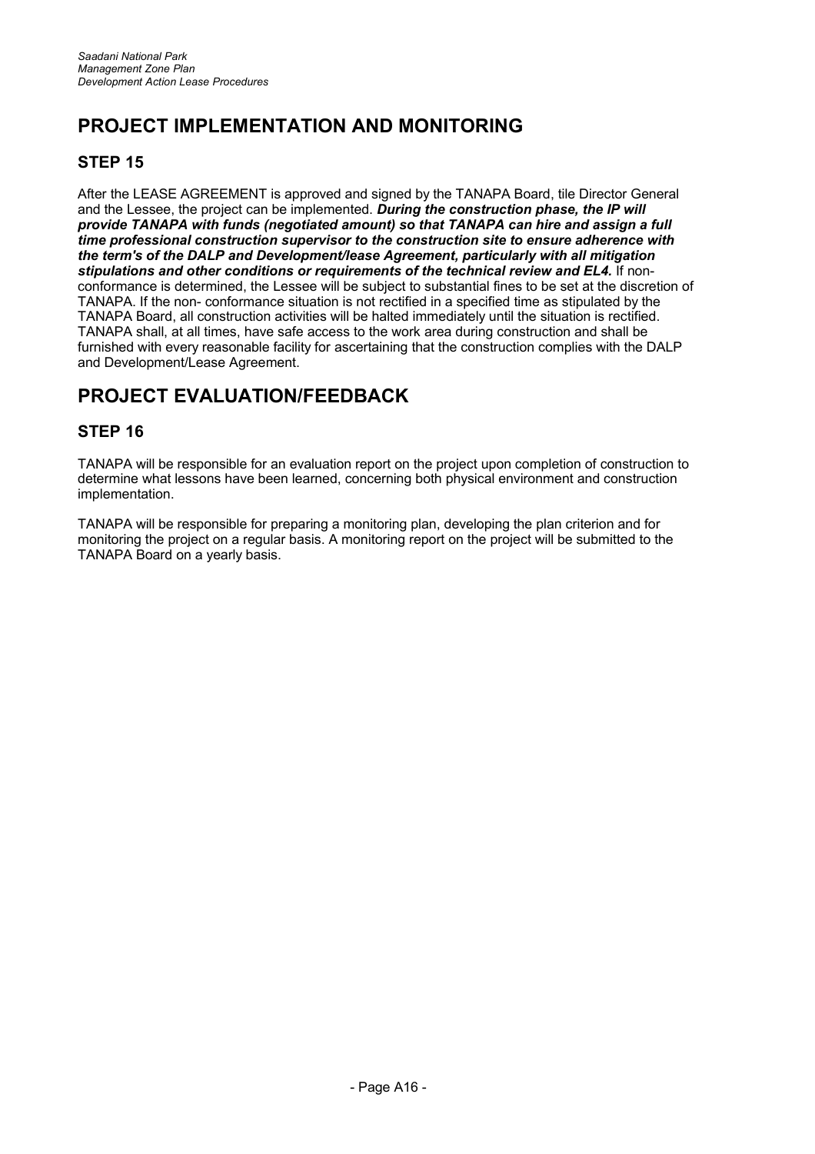## **PROJECT IMPLEMENTATION AND MONITORING**

## **STEP 15**

After the LEASE AGREEMENT is approved and signed by the TANAPA Board, tile Director General and the Lessee, the project can be implemented. *During the construction phase, the IP will provide TANAPA with funds (negotiated amount) so that TANAPA can hire and assign a full time professional construction supervisor to the construction site to ensure adherence with the term's of the DALP and Development/lease Agreement, particularly with all mitigation stipulations and other conditions or requirements of the technical review and EL4.* If nonconformance is determined, the Lessee will be subject to substantial fines to be set at the discretion of TANAPA. If the non- conformance situation is not rectified in a specified time as stipulated by the TANAPA Board, all construction activities will be halted immediately until the situation is rectified. TANAPA shall, at all times, have safe access to the work area during construction and shall be furnished with every reasonable facility for ascertaining that the construction complies with the DALP and Development/Lease Agreement.

## **PROJECT EVALUATION/FEEDBACK**

## **STEP 16**

TANAPA will be responsible for an evaluation report on the project upon completion of construction to determine what lessons have been learned, concerning both physical environment and construction implementation.

TANAPA will be responsible for preparing a monitoring plan, developing the plan criterion and for monitoring the project on a regular basis. A monitoring report on the project will be submitted to the TANAPA Board on a yearly basis.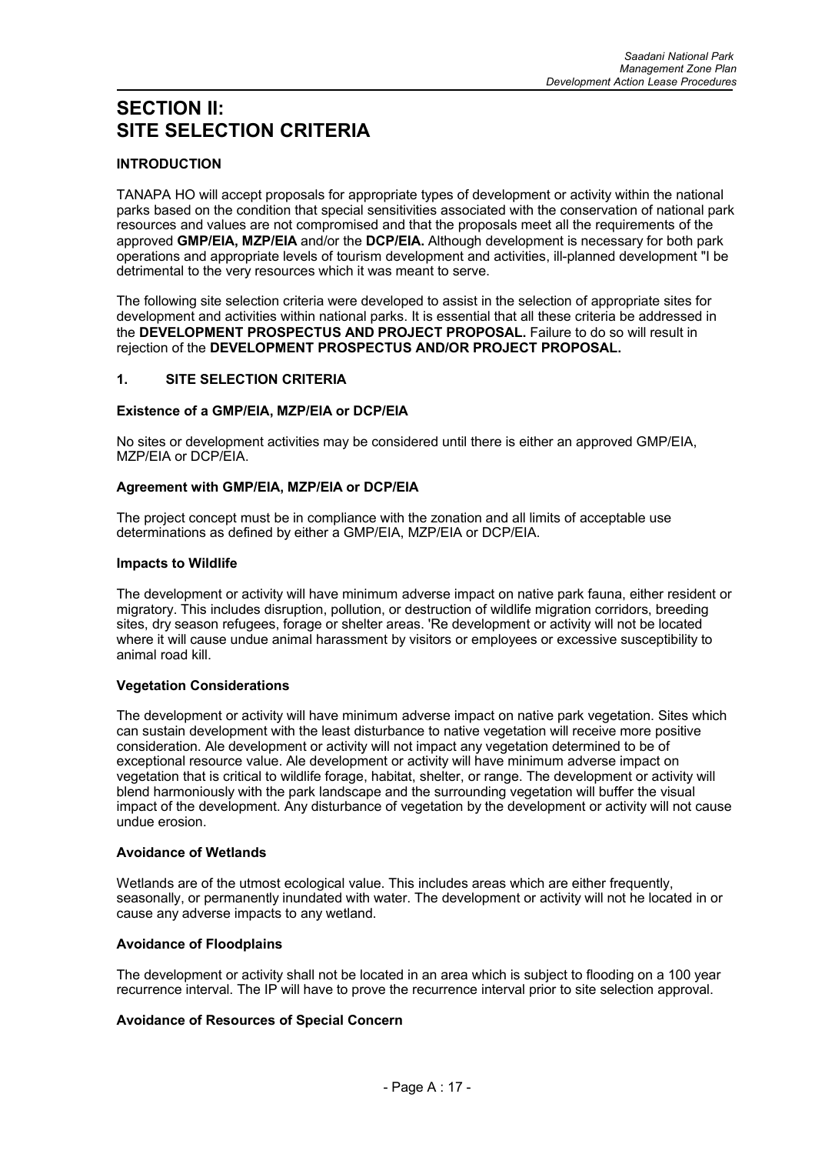## **SECTION II: SITE SELECTION CRITERIA**

## **INTRODUCTION**

TANAPA HO will accept proposals for appropriate types of development or activity within the national parks based on the condition that special sensitivities associated with the conservation of national park resources and values are not compromised and that the proposals meet all the requirements of the approved **GMP/EIA, MZP/EIA** and/or the **DCP/EIA.** Although development is necessary for both park operations and appropriate levels of tourism development and activities, ill-planned development "I be detrimental to the very resources which it was meant to serve.

The following site selection criteria were developed to assist in the selection of appropriate sites for development and activities within national parks. It is essential that all these criteria be addressed in the **DEVELOPMENT PROSPECTUS AND PROJECT PROPOSAL.** Failure to do so will result in rejection of the **DEVELOPMENT PROSPECTUS AND/OR PROJECT PROPOSAL.**

## **1. SITE SELECTION CRITERIA**

#### **Existence of a GMP/EIA, MZP/EIA or DCP/EIA**

No sites or development activities may be considered until there is either an approved GMP/EIA, MZP/EIA or DCP/EIA.

#### **Agreement with GMP/EIA, MZP/EIA or DCP/EIA**

The project concept must be in compliance with the zonation and all limits of acceptable use determinations as defined by either a GMP/EIA, MZP/EIA or DCP/EIA.

#### **Impacts to Wildlife**

The development or activity will have minimum adverse impact on native park fauna, either resident or migratory. This includes disruption, pollution, or destruction of wildlife migration corridors, breeding sites, dry season refugees, forage or shelter areas. 'Re development or activity will not be located where it will cause undue animal harassment by visitors or employees or excessive susceptibility to animal road kill.

## **Vegetation Considerations**

The development or activity will have minimum adverse impact on native park vegetation. Sites which can sustain development with the least disturbance to native vegetation will receive more positive consideration. Ale development or activity will not impact any vegetation determined to be of exceptional resource value. Ale development or activity will have minimum adverse impact on vegetation that is critical to wildlife forage, habitat, shelter, or range. The development or activity will blend harmoniously with the park landscape and the surrounding vegetation will buffer the visual impact of the development. Any disturbance of vegetation by the development or activity will not cause undue erosion.

#### **Avoidance of Wetlands**

Wetlands are of the utmost ecological value. This includes areas which are either frequently, seasonally, or permanently inundated with water. The development or activity will not he located in or cause any adverse impacts to any wetland.

#### **Avoidance of Floodplains**

The development or activity shall not be located in an area which is subject to flooding on a 100 year recurrence interval. The IP will have to prove the recurrence interval prior to site selection approval.

## **Avoidance of Resources of Special Concern**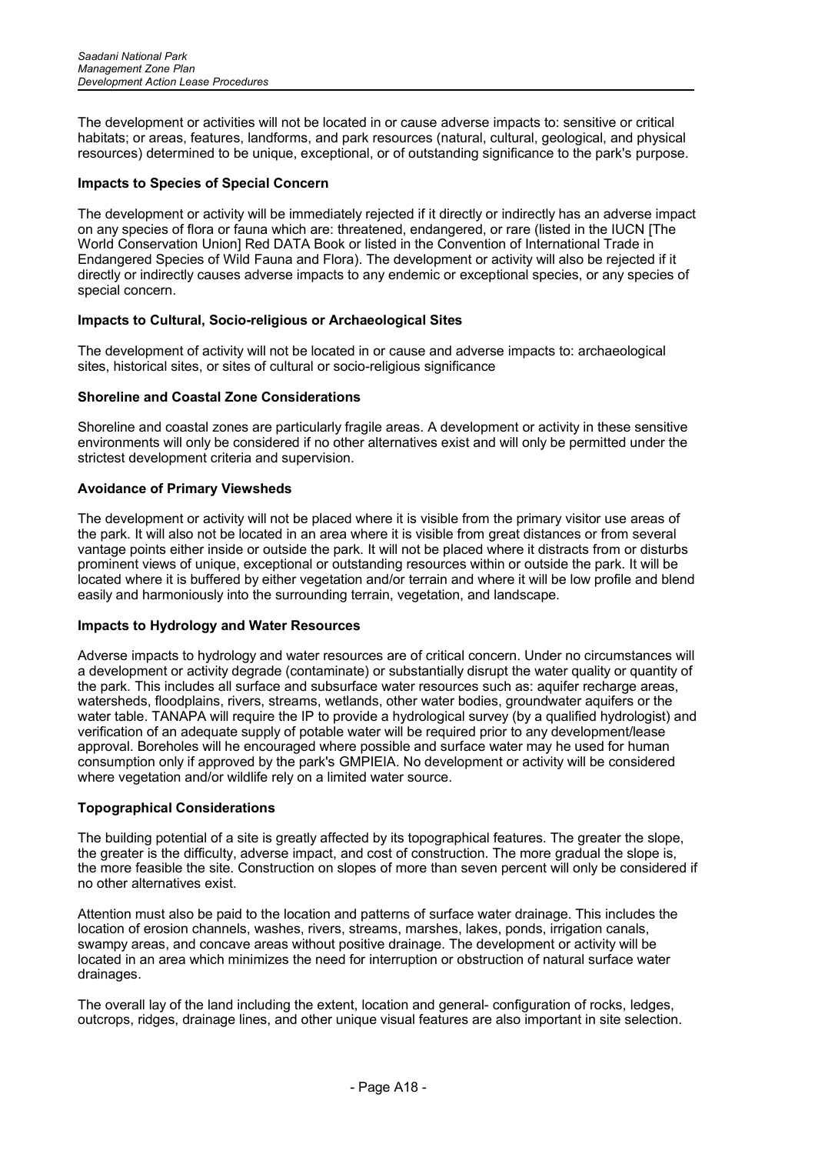The development or activities will not be located in or cause adverse impacts to: sensitive or critical habitats; or areas, features, landforms, and park resources (natural, cultural, geological, and physical resources) determined to be unique, exceptional, or of outstanding significance to the park's purpose.

#### **Impacts to Species of Special Concern**

The development or activity will be immediately rejected if it directly or indirectly has an adverse impact on any species of flora or fauna which are: threatened, endangered, or rare (listed in the IUCN [The World Conservation Union] Red DATA Book or listed in the Convention of International Trade in Endangered Species of Wild Fauna and Flora). The development or activity will also be rejected if it directly or indirectly causes adverse impacts to any endemic or exceptional species, or any species of special concern.

#### **Impacts to Cultural, Socio-religious or Archaeological Sites**

The development of activity will not be located in or cause and adverse impacts to: archaeological sites, historical sites, or sites of cultural or socio-religious significance

#### **Shoreline and Coastal Zone Considerations**

Shoreline and coastal zones are particularly fragile areas. A development or activity in these sensitive environments will only be considered if no other alternatives exist and will only be permitted under the strictest development criteria and supervision.

#### **Avoidance of Primary Viewsheds**

The development or activity will not be placed where it is visible from the primary visitor use areas of the park. It will also not be located in an area where it is visible from great distances or from several vantage points either inside or outside the park. It will not be placed where it distracts from or disturbs prominent views of unique, exceptional or outstanding resources within or outside the park. It will be located where it is buffered by either vegetation and/or terrain and where it will be low profile and blend easily and harmoniously into the surrounding terrain, vegetation, and landscape.

#### **Impacts to Hydrology and Water Resources**

Adverse impacts to hydrology and water resources are of critical concern. Under no circumstances will a development or activity degrade (contaminate) or substantially disrupt the water quality or quantity of the park. This includes all surface and subsurface water resources such as: aquifer recharge areas, watersheds, floodplains, rivers, streams, wetlands, other water bodies, groundwater aquifers or the water table. TANAPA will require the IP to provide a hydrological survey (by a qualified hydrologist) and verification of an adequate supply of potable water will be required prior to any development/lease approval. Boreholes will he encouraged where possible and surface water may he used for human consumption only if approved by the park's GMPIEIA. No development or activity will be considered where vegetation and/or wildlife rely on a limited water source.

#### **Topographical Considerations**

The building potential of a site is greatly affected by its topographical features. The greater the slope, the greater is the difficulty, adverse impact, and cost of construction. The more gradual the slope is, the more feasible the site. Construction on slopes of more than seven percent will only be considered if no other alternatives exist.

Attention must also be paid to the location and patterns of surface water drainage. This includes the location of erosion channels, washes, rivers, streams, marshes, lakes, ponds, irrigation canals, swampy areas, and concave areas without positive drainage. The development or activity will be located in an area which minimizes the need for interruption or obstruction of natural surface water drainages.

The overall lay of the land including the extent, location and general- configuration of rocks, ledges, outcrops, ridges, drainage lines, and other unique visual features are also important in site selection.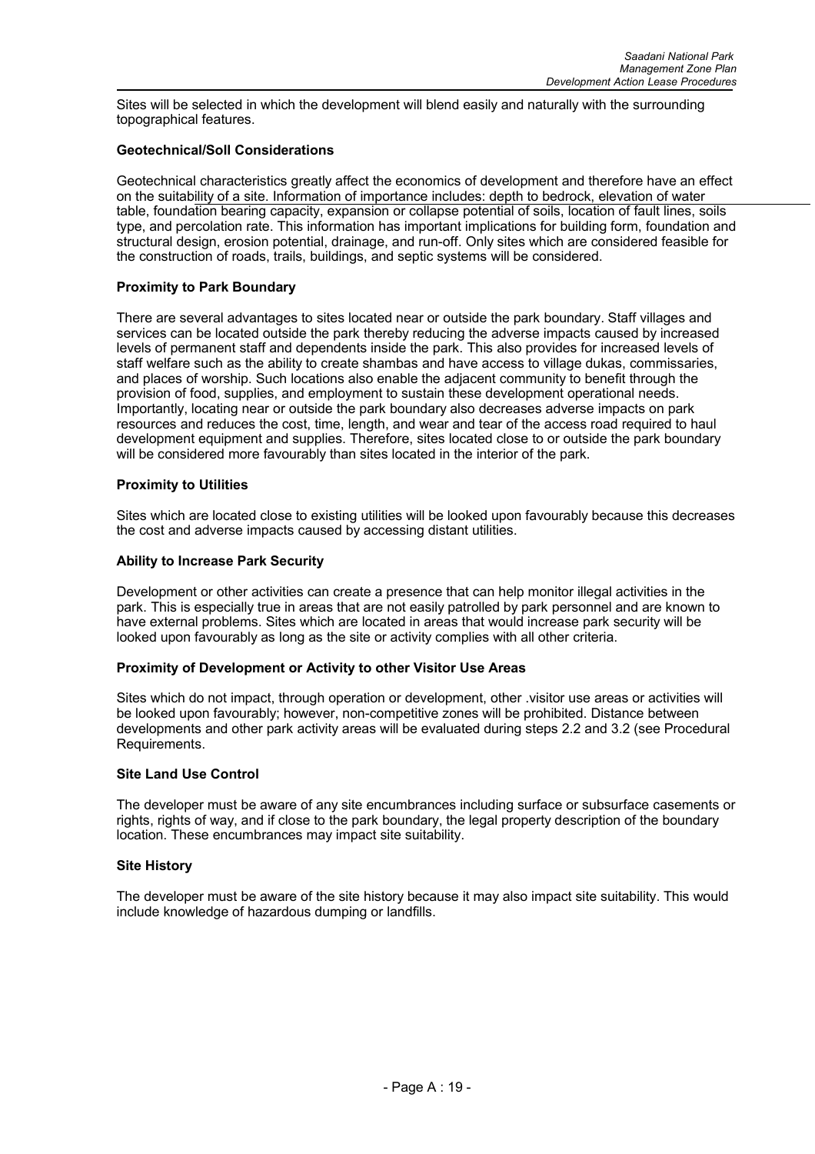Sites will be selected in which the development will blend easily and naturally with the surrounding topographical features.

#### **Geotechnical/Soll Considerations**

Geotechnical characteristics greatly affect the economics of development and therefore have an effect on the suitability of a site. Information of importance includes: depth to bedrock, elevation of water table, foundation bearing capacity, expansion or collapse potential of soils, location of fault lines, soils type, and percolation rate. This information has important implications for building form, foundation and structural design, erosion potential, drainage, and run-off. Only sites which are considered feasible for the construction of roads, trails, buildings, and septic systems will be considered.

#### **Proximity to Park Boundary**

There are several advantages to sites located near or outside the park boundary. Staff villages and services can be located outside the park thereby reducing the adverse impacts caused by increased levels of permanent staff and dependents inside the park. This also provides for increased levels of staff welfare such as the ability to create shambas and have access to village dukas, commissaries, and places of worship. Such locations also enable the adjacent community to benefit through the provision of food, supplies, and employment to sustain these development operational needs. Importantly, locating near or outside the park boundary also decreases adverse impacts on park resources and reduces the cost, time, length, and wear and tear of the access road required to haul development equipment and supplies. Therefore, sites located close to or outside the park boundary will be considered more favourably than sites located in the interior of the park.

#### **Proximity to Utilities**

Sites which are located close to existing utilities will be looked upon favourably because this decreases the cost and adverse impacts caused by accessing distant utilities.

#### **Ability to Increase Park Security**

Development or other activities can create a presence that can help monitor illegal activities in the park. This is especially true in areas that are not easily patrolled by park personnel and are known to have external problems. Sites which are located in areas that would increase park security will be looked upon favourably as long as the site or activity complies with all other criteria.

#### **Proximity of Development or Activity to other Visitor Use Areas**

Sites which do not impact, through operation or development, other .visitor use areas or activities will be looked upon favourably; however, non-competitive zones will be prohibited. Distance between developments and other park activity areas will be evaluated during steps 2.2 and 3.2 (see Procedural Requirements.

#### **Site Land Use Control**

The developer must be aware of any site encumbrances including surface or subsurface casements or rights, rights of way, and if close to the park boundary, the legal property description of the boundary location. These encumbrances may impact site suitability.

#### **Site History**

The developer must be aware of the site history because it may also impact site suitability. This would include knowledge of hazardous dumping or landfills.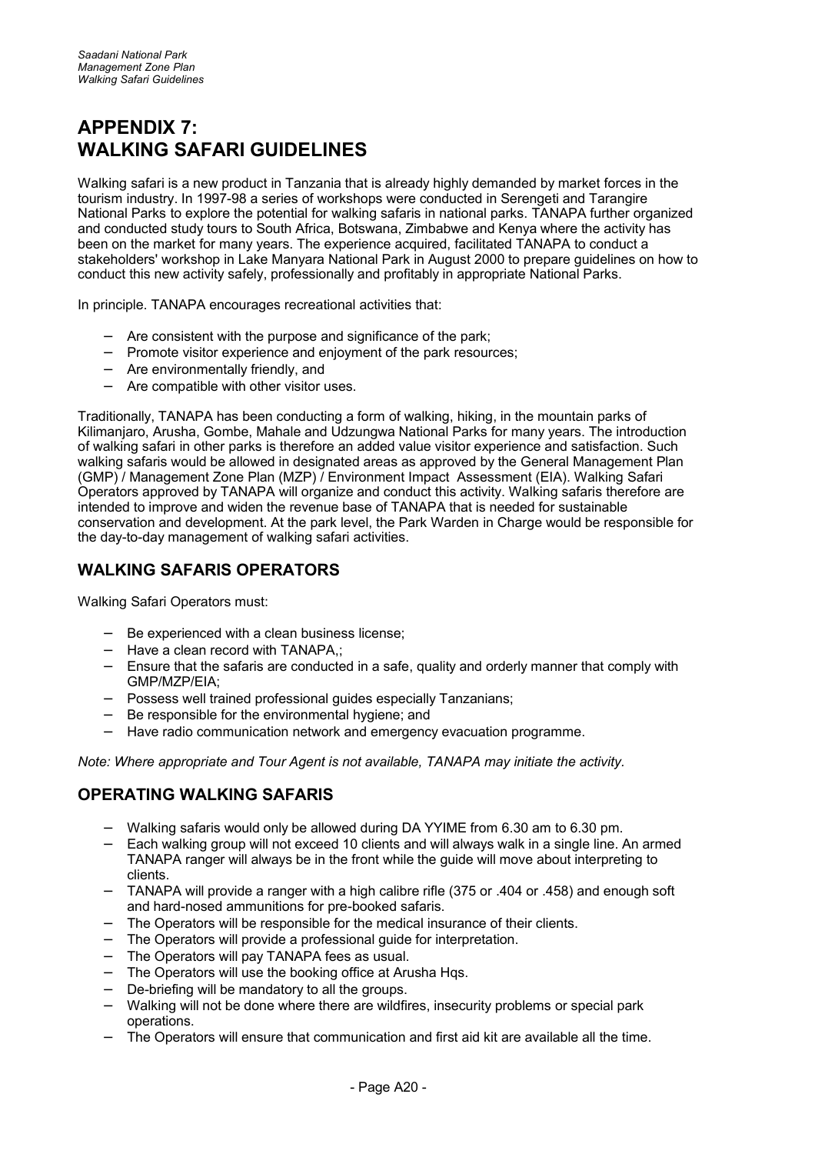## **APPENDIX 7: WALKING SAFARI GUIDELINES**

Walking safari is a new product in Tanzania that is already highly demanded by market forces in the tourism industry. In 1997-98 a series of workshops were conducted in Serengeti and Tarangire National Parks to explore the potential for walking safaris in national parks. TANAPA further organized and conducted study tours to South Africa, Botswana, Zimbabwe and Kenya where the activity has been on the market for many years. The experience acquired, facilitated TANAPA to conduct a stakeholders' workshop in Lake Manyara National Park in August 2000 to prepare guidelines on how to conduct this new activity safely, professionally and profitably in appropriate National Parks.

In principle. TANAPA encourages recreational activities that:

- − Are consistent with the purpose and significance of the park;
- − Promote visitor experience and enjoyment of the park resources;
- − Are environmentally friendly, and
- − Are compatible with other visitor uses.

Traditionally, TANAPA has been conducting a form of walking, hiking, in the mountain parks of Kilimanjaro, Arusha, Gombe, Mahale and Udzungwa National Parks for many years. The introduction of walking safari in other parks is therefore an added value visitor experience and satisfaction. Such walking safaris would be allowed in designated areas as approved by the General Management Plan (GMP) / Management Zone Plan (MZP) / Environment Impact Assessment (EIA). Walking Safari Operators approved by TANAPA will organize and conduct this activity. Walking safaris therefore are intended to improve and widen the revenue base of TANAPA that is needed for sustainable conservation and development. At the park level, the Park Warden in Charge would be responsible for the day-to-day management of walking safari activities.

## **WALKING SAFARIS OPERATORS**

Walking Safari Operators must:

- − Be experienced with a clean business license;
- − Have a clean record with TANAPA,;
- − Ensure that the safaris are conducted in a safe, quality and orderly manner that comply with GMP/MZP/EIA;
- − Possess well trained professional guides especially Tanzanians;
- Be responsible for the environmental hygiene; and
- − Have radio communication network and emergency evacuation programme.

*Note: Where appropriate and Tour Agent is not available, TANAPA may initiate the activity.*

## **OPERATING WALKING SAFARIS**

- − Walking safaris would only be allowed during DA YYIME from 6.30 am to 6.30 pm.
- − Each walking group will not exceed 10 clients and will always walk in a single line. An armed TANAPA ranger will always be in the front while the guide will move about interpreting to clients.
- − TANAPA will provide a ranger with a high calibre rifle (375 or .404 or .458) and enough soft and hard-nosed ammunitions for pre-booked safaris.
- The Operators will be responsible for the medical insurance of their clients.
- The Operators will provide a professional quide for interpretation.
- − The Operators will pay TANAPA fees as usual.
- − The Operators will use the booking office at Arusha Hqs.
- De-briefing will be mandatory to all the groups.
- Walking will not be done where there are wildfires, insecurity problems or special park operations.
- The Operators will ensure that communication and first aid kit are available all the time.